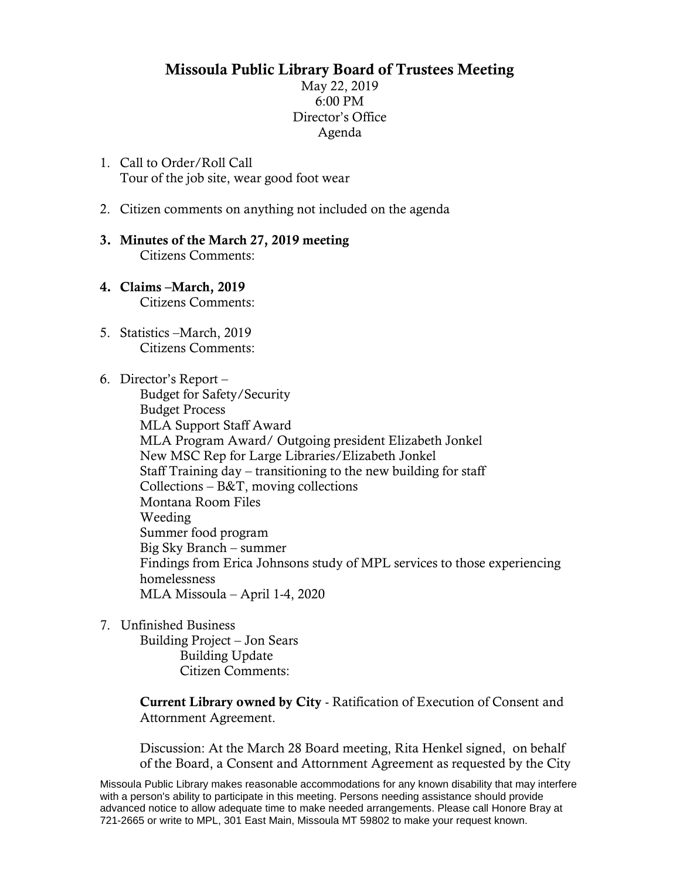## Missoula Public Library Board of Trustees Meeting

May 22, 2019 6:00 PM Director's Office Agenda

- 1. Call to Order/Roll Call Tour of the job site, wear good foot wear
- 2. Citizen comments on anything not included on the agenda
- 3. Minutes of the March 27, 2019 meeting Citizens Comments:
- 4. Claims –March, 2019 Citizens Comments:
- 5. Statistics –March, 2019 Citizens Comments:
- 6. Director's Report –

Budget for Safety/Security Budget Process MLA Support Staff Award MLA Program Award/ Outgoing president Elizabeth Jonkel New MSC Rep for Large Libraries/Elizabeth Jonkel Staff Training day – transitioning to the new building for staff Collections – B&T, moving collections Montana Room Files Weeding Summer food program Big Sky Branch – summer Findings from Erica Johnsons study of MPL services to those experiencing homelessness MLA Missoula – April 1-4, 2020

7. Unfinished Business

Building Project – Jon Sears Building Update Citizen Comments:

Current Library owned by City - Ratification of Execution of Consent and Attornment Agreement.

Discussion: At the March 28 Board meeting, Rita Henkel signed, on behalf of the Board, a Consent and Attornment Agreement as requested by the City

Missoula Public Library makes reasonable accommodations for any known disability that may interfere with a person's ability to participate in this meeting. Persons needing assistance should provide advanced notice to allow adequate time to make needed arrangements. Please call Honore Bray at 721-2665 or write to MPL, 301 East Main, Missoula MT 59802 to make your request known.